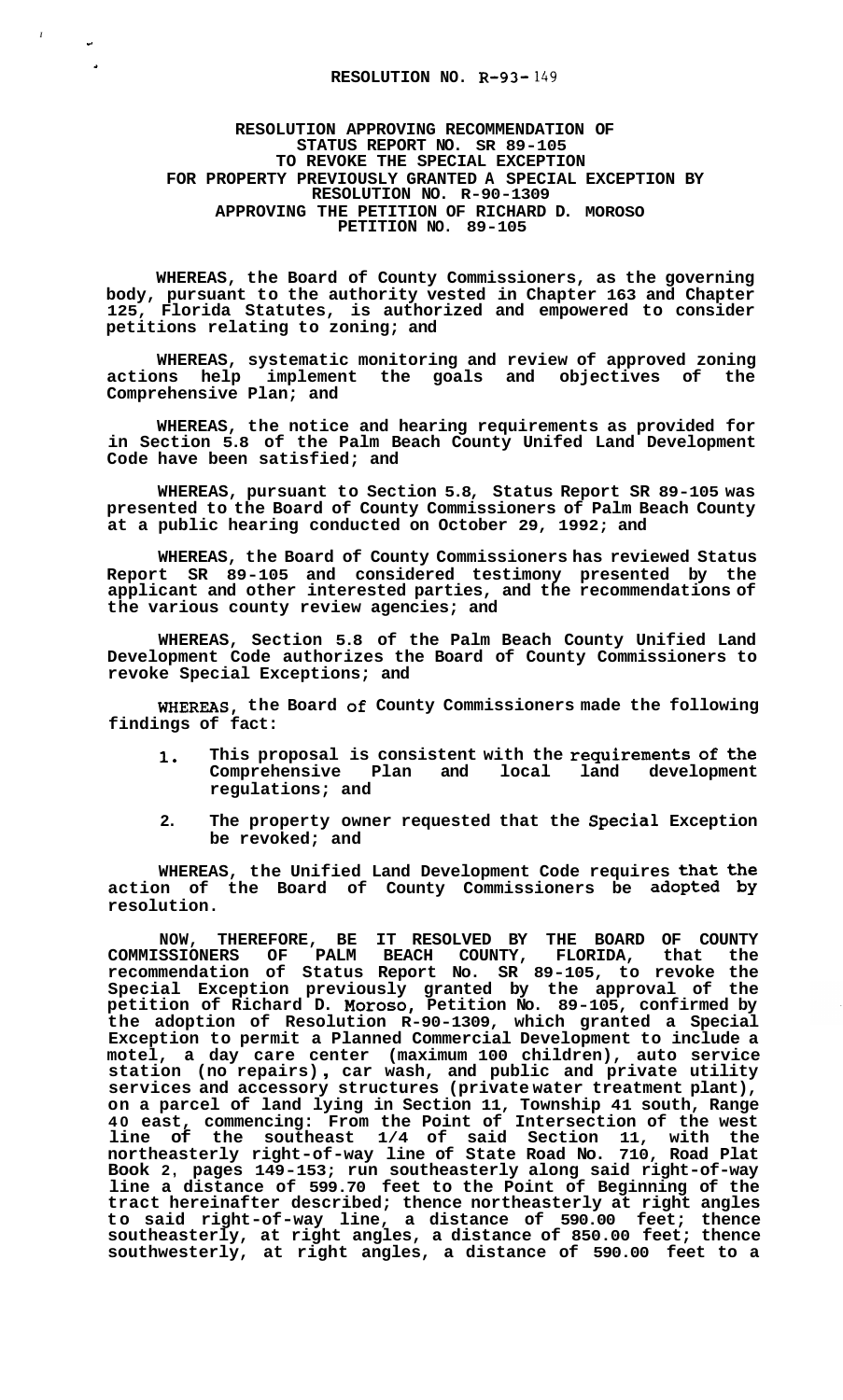## **RESOLUTION NO. R-93-** *149*

*<sup>I</sup>***r** 

## **RESOLUTION APPROVING RECOMMENDATION OF STATUS REPORT NO. SR 89-105 TO REVOKE THE SPECIAL EXCEPTION FOR PROPERTY PREVIOUSLY GRANTED A SPECIAL EXCEPTION BY RESOLUTION NO. R-90-1309 APPROVING THE PETITION OF RICHARD D. MOROSO PETITION NO. 89-105**

**WHEREAS, the Board of County Commissioners, as the governing body, pursuant to the authority vested in Chapter 163 and Chapter 125, Florida Statutes, is authorized and empowered to consider petitions relating to zoning; and** 

**WHEREAS, systematic monitoring and review of approved zoning actions help implement the goals and objectives of the Comprehensive Plan; and** 

**WHEREAS, the notice and hearing requirements as provided for in Section 5.8 of the Palm Beach County Unifed Land Development Code have been satisfied; and** 

**WHEREAS, pursuant to Section 5.8, Status Report SR 89-105 was presented to the Board of County Commissioners of Palm Beach County at a public hearing conducted on October 29, 1992; and** 

**WHEREAS, the Board of County Commissioners has reviewed Status Report SR 89-105 and considered testimony presented by the applicant and other interested parties, and the recommendations of the various county review agencies; and** 

**WHEREAS, Section 5.8 of the Palm Beach County Unified Land Development Code authorizes the Board of County Commissioners to revoke Special Exceptions; and** 

**WHEREAS, the Board of County Commissioners made the following findings of fact:** 

- **1. This proposal is consistent with the requirements of the Comprehensive Plan regulations; and**
- **2. The property owner requested that the Special Exception be revoked; and**

**WHEREAS, the Unified Land Development Code requires that the action of the Board of County Commissioners be adopted by resolution.** 

**NOW, THEREFORE, BE IT RESOLVED BY THE BOARD OF COUNTY COMMISSIONERS OF PALM BEACH COUNTY, FLORIDA, that the recommendation of Status Report No. SR 89-105, to revoke the Special Exception previously granted by the approval of the petition of Richard D. Moroso, Petition No. 89-105, confirmed by the adoption of Resolution R-90-1309, which granted a Special Exception to permit a Planned Commercial Development to include a motel, a day care center (maximum 100 children), auto service station (no repairs)** , **car wash, and public and private utility services and accessory structures (private water treatment plant), on a parcel of land lying in Section 11, Township 41 south, Range 40 east, commencing: From the Point of Intersection of the west line of the southeast 1/4 of said Section 11, with the northeasterly right-of-way line of State Road No. 710, Road Plat Book 2, pages 149-153; run southeasterly along said right-of-way line a distance of 599.70 feet to the Point of Beginning of the tract hereinafter described; thence northeasterly at right angles to said right-of-way line, a distance of 590.00 feet; thence southeasterly, at right angles, a distance of 850.00 feet; thence southwesterly, at right angles, a distance of 590.00 feet to a**